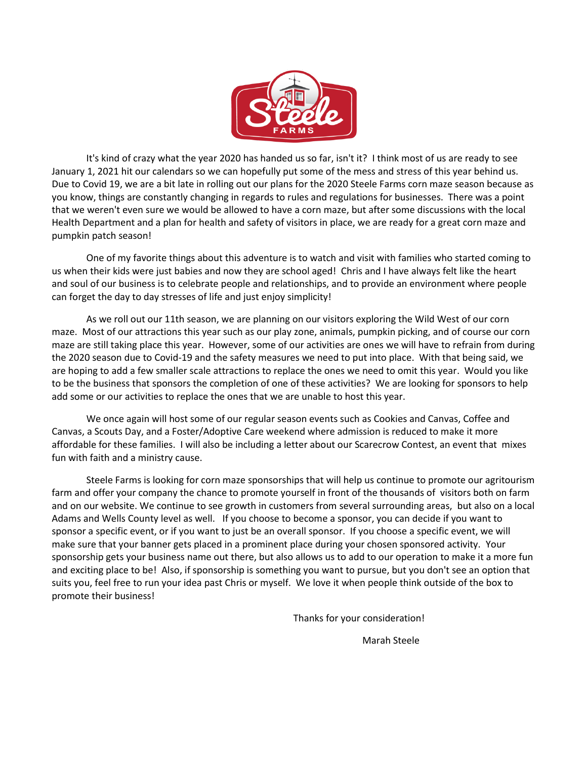

It's kind of crazy what the year 2020 has handed us so far, isn't it? I think most of us are ready to see January 1, 2021 hit our calendars so we can hopefully put some of the mess and stress of this year behind us. Due to Covid 19, we are a bit late in rolling out our plans for the 2020 Steele Farms corn maze season because as you know, things are constantly changing in regards to rules and regulations for businesses. There was a point that we weren't even sure we would be allowed to have a corn maze, but after some discussions with the local Health Department and a plan for health and safety of visitors in place, we are ready for a great corn maze and pumpkin patch season!

One of my favorite things about this adventure is to watch and visit with families who started coming to us when their kids were just babies and now they are school aged! Chris and I have always felt like the heart and soul of our business is to celebrate people and relationships, and to provide an environment where people can forget the day to day stresses of life and just enjoy simplicity!

As we roll out our 11th season, we are planning on our visitors exploring the Wild West of our corn maze. Most of our attractions this year such as our play zone, animals, pumpkin picking, and of course our corn maze are still taking place this year. However, some of our activities are ones we will have to refrain from during the 2020 season due to Covid-19 and the safety measures we need to put into place. With that being said, we are hoping to add a few smaller scale attractions to replace the ones we need to omit this year. Would you like to be the business that sponsors the completion of one of these activities? We are looking for sponsors to help add some or our activities to replace the ones that we are unable to host this year.

We once again will host some of our regular season events such as Cookies and Canvas, Coffee and Canvas, a Scouts Day, and a Foster/Adoptive Care weekend where admission is reduced to make it more affordable for these families. I will also be including a letter about our Scarecrow Contest, an event that mixes fun with faith and a ministry cause.

Steele Farms is looking for corn maze sponsorships that will help us continue to promote our agritourism farm and offer your company the chance to promote yourself in front of the thousands of visitors both on farm and on our website. We continue to see growth in customers from several surrounding areas, but also on a local Adams and Wells County level as well. If you choose to become a sponsor, you can decide if you want to sponsor a specific event, or if you want to just be an overall sponsor. If you choose a specific event, we will make sure that your banner gets placed in a prominent place during your chosen sponsored activity. Your sponsorship gets your business name out there, but also allows us to add to our operation to make it a more fun and exciting place to be! Also, if sponsorship is something you want to pursue, but you don't see an option that suits you, feel free to run your idea past Chris or myself. We love it when people think outside of the box to promote their business!

Thanks for your consideration!

Marah Steele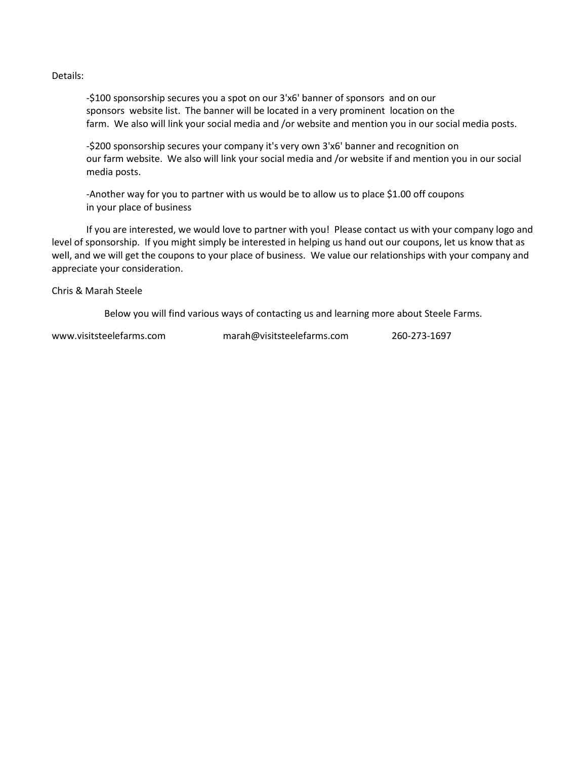Details:

-\$100 sponsorship secures you a spot on our 3'x6' banner of sponsors and on our sponsors website list. The banner will be located in a very prominent location on the farm. We also will link your social media and /or website and mention you in our social media posts.

-\$200 sponsorship secures your company it's very own 3'x6' banner and recognition on our farm website. We also will link your social media and /or website if and mention you in our social media posts.

-Another way for you to partner with us would be to allow us to place \$1.00 off coupons in your place of business

If you are interested, we would love to partner with you! Please contact us with your company logo and level of sponsorship. If you might simply be interested in helping us hand out our coupons, let us know that as well, and we will get the coupons to your place of business. We value our relationships with your company and appreciate your consideration.

Chris & Marah Steele

Below you will find various ways of contacting us and learning more about Steele Farms.

| www.visitsteelefarms.com | marah@visitsteelefarms.com | 260-273-1697 |
|--------------------------|----------------------------|--------------|
|                          |                            |              |